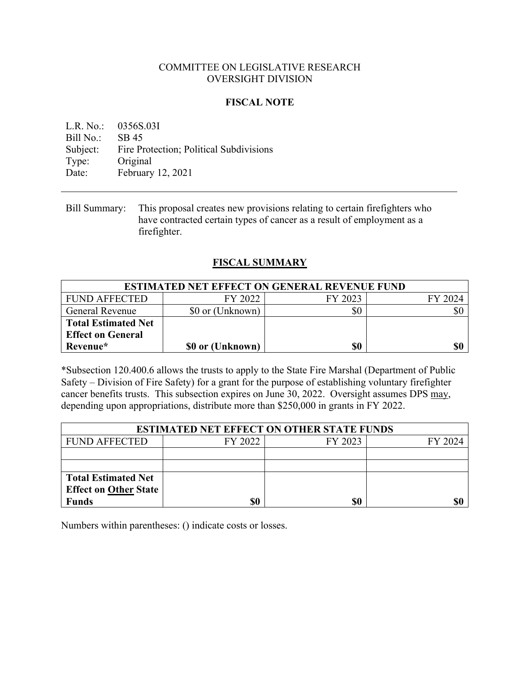### COMMITTEE ON LEGISLATIVE RESEARCH OVERSIGHT DIVISION

## **FISCAL NOTE**

L.R. No.: 0356S.03I Bill No.: SB 45 Subject: Fire Protection; Political Subdivisions Type: Original Date: February 12, 2021

## **FISCAL SUMMARY**

| <b>ESTIMATED NET EFFECT ON GENERAL REVENUE FUND</b> |                  |         |         |
|-----------------------------------------------------|------------------|---------|---------|
| FUND AFFECTED                                       | FY 2022          | FY 2023 | FY 2024 |
| <b>General Revenue</b>                              | \$0 or (Unknown) | \$0     | \$0     |
| <b>Total Estimated Net</b>                          |                  |         |         |
| <b>Effect on General</b>                            |                  |         |         |
| Revenue*                                            | \$0 or (Unknown) | \$0     | \$0     |

\*Subsection 120.400.6 allows the trusts to apply to the State Fire Marshal (Department of Public Safety – Division of Fire Safety) for a grant for the purpose of establishing voluntary firefighter cancer benefits trusts. This subsection expires on June 30, 2022. Oversight assumes DPS may, depending upon appropriations, distribute more than \$250,000 in grants in FY 2022.

| <b>ESTIMATED NET EFFECT ON OTHER STATE FUNDS</b> |         |         |         |  |
|--------------------------------------------------|---------|---------|---------|--|
| <b>FUND AFFECTED</b>                             | FY 2022 | FY 2023 | FY 2024 |  |
|                                                  |         |         |         |  |
|                                                  |         |         |         |  |
| <b>Total Estimated Net</b>                       |         |         |         |  |
| <b>Effect on Other State</b>                     |         |         |         |  |
| <b>Funds</b>                                     | \$0     | \$0     | \$0     |  |

Numbers within parentheses: () indicate costs or losses.

Bill Summary: This proposal creates new provisions relating to certain firefighters who have contracted certain types of cancer as a result of employment as a firefighter.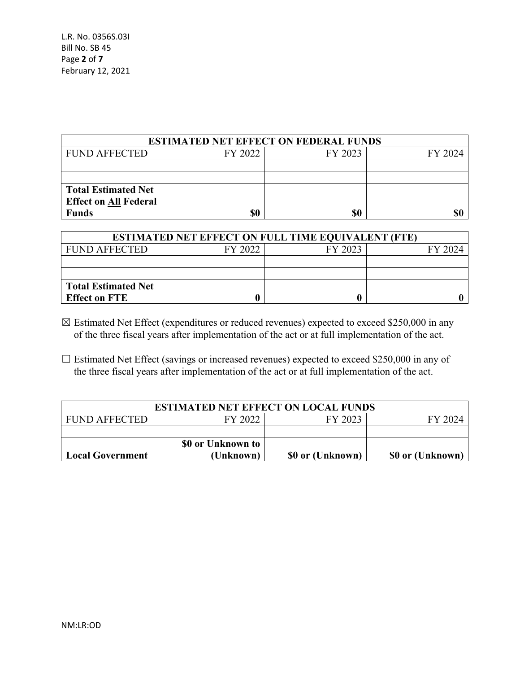| <b>ESTIMATED NET EFFECT ON FEDERAL FUNDS</b> |         |         |         |  |
|----------------------------------------------|---------|---------|---------|--|
| <b>FUND AFFECTED</b>                         | FY 2022 | FY 2023 | FY 2024 |  |
|                                              |         |         |         |  |
|                                              |         |         |         |  |
| <b>Total Estimated Net</b>                   |         |         |         |  |
| <b>Effect on All Federal</b>                 |         |         |         |  |
| <b>Funds</b>                                 | \$0     | S0      | \$0     |  |

| <b>ESTIMATED NET EFFECT ON FULL TIME EQUIVALENT (FTE)</b> |         |         |         |  |
|-----------------------------------------------------------|---------|---------|---------|--|
| <b>FUND AFFECTED</b>                                      | FY 2022 | FY 2023 | FY 2024 |  |
|                                                           |         |         |         |  |
|                                                           |         |         |         |  |
| <b>Total Estimated Net</b>                                |         |         |         |  |
| <b>Effect on FTE</b>                                      |         |         |         |  |

- $\boxtimes$  Estimated Net Effect (expenditures or reduced revenues) expected to exceed \$250,000 in any of the three fiscal years after implementation of the act or at full implementation of the act.
- □ Estimated Net Effect (savings or increased revenues) expected to exceed \$250,000 in any of the three fiscal years after implementation of the act or at full implementation of the act.

| <b>ESTIMATED NET EFFECT ON LOCAL FUNDS</b> |                   |                  |                  |  |
|--------------------------------------------|-------------------|------------------|------------------|--|
| FUND AFFECTED                              | FY 2022           | FY 2023          | FY 2024          |  |
|                                            |                   |                  |                  |  |
|                                            | \$0 or Unknown to |                  |                  |  |
| <b>Local Government</b>                    | (Unknown)         | \$0 or (Unknown) | \$0 or (Unknown) |  |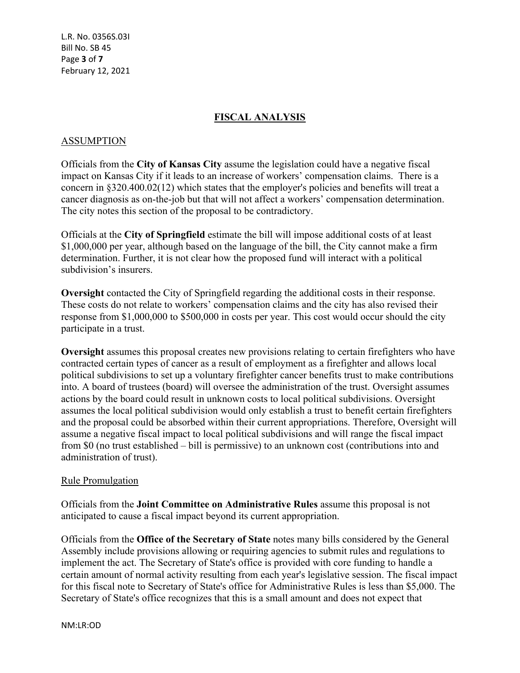L.R. No. 0356S.03I Bill No. SB 45 Page **3** of **7** February 12, 2021

## **FISCAL ANALYSIS**

### ASSUMPTION

Officials from the **City of Kansas City** assume the legislation could have a negative fiscal impact on Kansas City if it leads to an increase of workers' compensation claims. There is a concern in §320.400.02(12) which states that the employer's policies and benefits will treat a cancer diagnosis as on-the-job but that will not affect a workers' compensation determination. The city notes this section of the proposal to be contradictory.

Officials at the **City of Springfield** estimate the bill will impose additional costs of at least \$1,000,000 per year, although based on the language of the bill, the City cannot make a firm determination. Further, it is not clear how the proposed fund will interact with a political subdivision's insurers.

**Oversight** contacted the City of Springfield regarding the additional costs in their response. These costs do not relate to workers' compensation claims and the city has also revised their response from \$1,000,000 to \$500,000 in costs per year. This cost would occur should the city participate in a trust.

**Oversight** assumes this proposal creates new provisions relating to certain firefighters who have contracted certain types of cancer as a result of employment as a firefighter and allows local political subdivisions to set up a voluntary firefighter cancer benefits trust to make contributions into. A board of trustees (board) will oversee the administration of the trust. Oversight assumes actions by the board could result in unknown costs to local political subdivisions. Oversight assumes the local political subdivision would only establish a trust to benefit certain firefighters and the proposal could be absorbed within their current appropriations. Therefore, Oversight will assume a negative fiscal impact to local political subdivisions and will range the fiscal impact from \$0 (no trust established – bill is permissive) to an unknown cost (contributions into and administration of trust).

### Rule Promulgation

Officials from the **Joint Committee on Administrative Rules** assume this proposal is not anticipated to cause a fiscal impact beyond its current appropriation.

Officials from the **Office of the Secretary of State** notes many bills considered by the General Assembly include provisions allowing or requiring agencies to submit rules and regulations to implement the act. The Secretary of State's office is provided with core funding to handle a certain amount of normal activity resulting from each year's legislative session. The fiscal impact for this fiscal note to Secretary of State's office for Administrative Rules is less than \$5,000. The Secretary of State's office recognizes that this is a small amount and does not expect that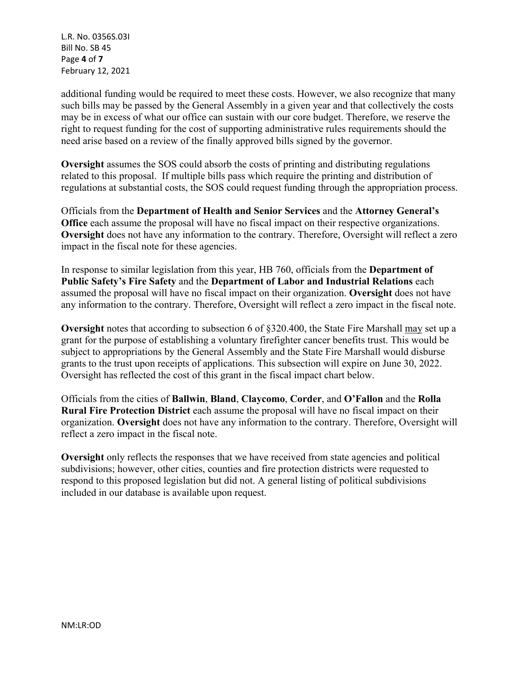L.R. No. 0356S.03I Bill No. SB 45 Page **4** of **7** February 12, 2021

additional funding would be required to meet these costs. However, we also recognize that many such bills may be passed by the General Assembly in a given year and that collectively the costs may be in excess of what our office can sustain with our core budget. Therefore, we reserve the right to request funding for the cost of supporting administrative rules requirements should the need arise based on a review of the finally approved bills signed by the governor.

**Oversight** assumes the SOS could absorb the costs of printing and distributing regulations related to this proposal. If multiple bills pass which require the printing and distribution of regulations at substantial costs, the SOS could request funding through the appropriation process.

Officials from the **Department of Health and Senior Services** and the **Attorney General's Office** each assume the proposal will have no fiscal impact on their respective organizations. **Oversight** does not have any information to the contrary. Therefore, Oversight will reflect a zero impact in the fiscal note for these agencies.

In response to similar legislation from this year, HB 760, officials from the **Department of Public Safety's Fire Safety** and the **Department of Labor and Industrial Relations** each assumed the proposal will have no fiscal impact on their organization. **Oversight** does not have any information to the contrary. Therefore, Oversight will reflect a zero impact in the fiscal note.

**Oversight** notes that according to subsection 6 of §320.400, the State Fire Marshall may set up a grant for the purpose of establishing a voluntary firefighter cancer benefits trust. This would be subject to appropriations by the General Assembly and the State Fire Marshall would disburse grants to the trust upon receipts of applications. This subsection will expire on June 30, 2022. Oversight has reflected the cost of this grant in the fiscal impact chart below.

Officials from the cities of **Ballwin**, **Bland**, **Claycomo**, **Corder**, and **O'Fallon** and the **Rolla Rural Fire Protection District** each assume the proposal will have no fiscal impact on their organization. **Oversight** does not have any information to the contrary. Therefore, Oversight will reflect a zero impact in the fiscal note.

**Oversight** only reflects the responses that we have received from state agencies and political subdivisions; however, other cities, counties and fire protection districts were requested to respond to this proposed legislation but did not. A general listing of political subdivisions included in our database is available upon request.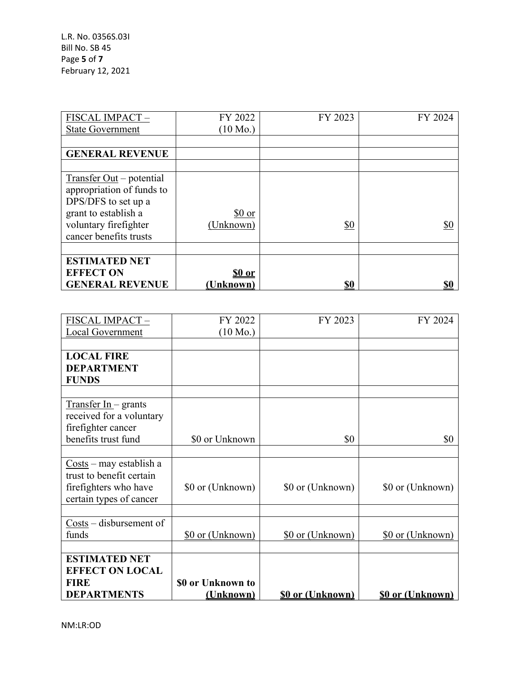L.R. No. 0356S.03I Bill No. SB 45 Page **5** of **7** February 12, 2021

| FISCAL IMPACT-            | FY 2022            | FY 2023           | FY 2024    |
|---------------------------|--------------------|-------------------|------------|
| <b>State Government</b>   | $(10 \text{ Mo.})$ |                   |            |
|                           |                    |                   |            |
| <b>GENERAL REVENUE</b>    |                    |                   |            |
|                           |                    |                   |            |
| Transfer Out – potential  |                    |                   |            |
| appropriation of funds to |                    |                   |            |
| DPS/DFS to set up a       |                    |                   |            |
| grant to establish a      | \$0 or             |                   |            |
| voluntary firefighter     | (Unknown)          | $\underline{\$0}$ | \$0        |
| cancer benefits trusts    |                    |                   |            |
|                           |                    |                   |            |
| <b>ESTIMATED NET</b>      |                    |                   |            |
| <b>EFFECT ON</b>          | <u>s0 or</u>       |                   |            |
| <b>GENERAL REVENUE</b>    | Unknown)           | \$0               | <u>\$0</u> |

| FISCAL IMPACT-                                      | FY 2022            | FY 2023                 | FY 2024                 |
|-----------------------------------------------------|--------------------|-------------------------|-------------------------|
| Local Government                                    | $(10 \text{ Mo.})$ |                         |                         |
|                                                     |                    |                         |                         |
| <b>LOCAL FIRE</b>                                   |                    |                         |                         |
| <b>DEPARTMENT</b>                                   |                    |                         |                         |
| <b>FUNDS</b>                                        |                    |                         |                         |
|                                                     |                    |                         |                         |
| $Transfer In- grants$                               |                    |                         |                         |
| received for a voluntary                            |                    |                         |                         |
| firefighter cancer                                  |                    |                         |                         |
| benefits trust fund                                 | \$0 or Unknown     | \$0                     | \$0                     |
|                                                     |                    |                         |                         |
| $\frac{\text{Costs}}{\text{max}}$ – may establish a |                    |                         |                         |
| trust to benefit certain                            |                    |                         |                         |
| firefighters who have                               | \$0 or (Unknown)   | \$0 or (Unknown)        | \$0 or (Unknown)        |
| certain types of cancer                             |                    |                         |                         |
|                                                     |                    |                         |                         |
| Costs – disbursement of                             |                    |                         |                         |
| funds                                               | \$0 or (Unknown)   | \$0 or (Unknown)        | \$0 or (Unknown)        |
|                                                     |                    |                         |                         |
| <b>ESTIMATED NET</b>                                |                    |                         |                         |
| <b>EFFECT ON LOCAL</b>                              |                    |                         |                         |
| <b>FIRE</b>                                         | \$0 or Unknown to  |                         |                         |
| <b>DEPARTMENTS</b>                                  | (Unknown)          | <b>\$0 or (Unknown)</b> | <b>\$0 or (Unknown)</b> |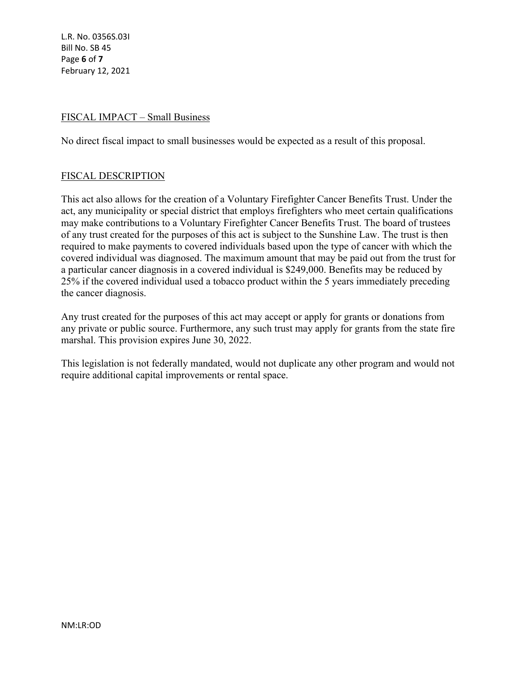L.R. No. 0356S.03I Bill No. SB 45 Page **6** of **7** February 12, 2021

# FISCAL IMPACT – Small Business

No direct fiscal impact to small businesses would be expected as a result of this proposal.

### FISCAL DESCRIPTION

This act also allows for the creation of a Voluntary Firefighter Cancer Benefits Trust. Under the act, any municipality or special district that employs firefighters who meet certain qualifications may make contributions to a Voluntary Firefighter Cancer Benefits Trust. The board of trustees of any trust created for the purposes of this act is subject to the Sunshine Law. The trust is then required to make payments to covered individuals based upon the type of cancer with which the covered individual was diagnosed. The maximum amount that may be paid out from the trust for a particular cancer diagnosis in a covered individual is \$249,000. Benefits may be reduced by 25% if the covered individual used a tobacco product within the 5 years immediately preceding the cancer diagnosis.

Any trust created for the purposes of this act may accept or apply for grants or donations from any private or public source. Furthermore, any such trust may apply for grants from the state fire marshal. This provision expires June 30, 2022.

This legislation is not federally mandated, would not duplicate any other program and would not require additional capital improvements or rental space.